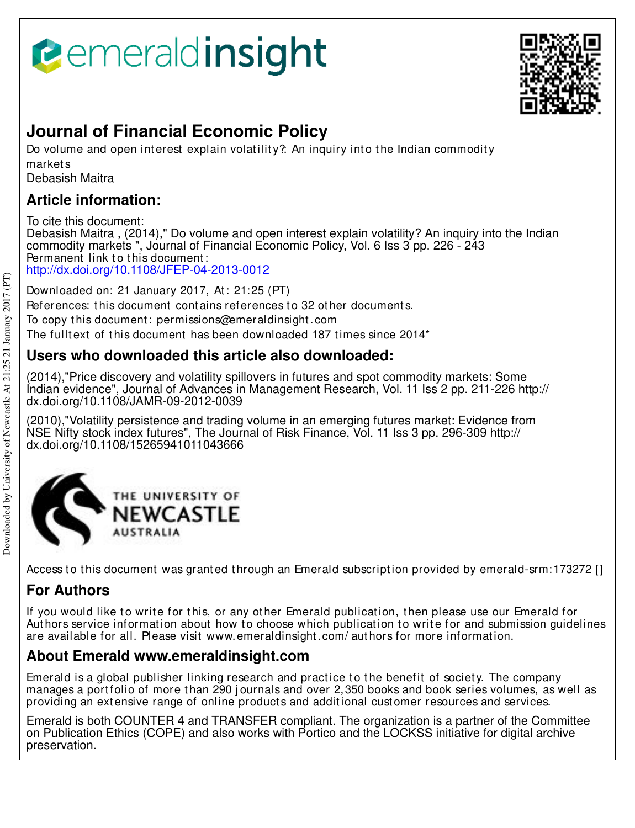# **B**emeraldinsight



## **Journal of Financial Economic Policy**

Do volume and open interest explain volatility? An inquiry into the Indian commodity market s

Debasish Maitra

### **Article information:**

To cite this document: Debasish Maitra , (2014)," Do volume and open interest explain volatility? An inquiry into the Indian commodity markets ", Journal of Financial Economic Policy, Vol. 6 Iss 3 pp. 226 - 243 Permanent link to this document: http://dx.doi.org/10.1108/JFEP-04-2013-0012

Downloaded on: 21 January 2017, At : 21:25 (PT) References: this document contains references to 32 other documents. To copy t his document : permissions@emeraldinsight .com The fulltext of this document has been downloaded  $187$  times since  $2014<sup>*</sup>$ 

## **Users who downloaded this article also downloaded:**

(2014),"Price discovery and volatility spillovers in futures and spot commodity markets: Some Indian evidence", Journal of Advances in Management Research, Vol. 11 Iss 2 pp. 211-226 http:// dx.doi.org/10.1108/JAMR-09-2012-0039

(2010),"Volatility persistence and trading volume in an emerging futures market: Evidence from NSE Nifty stock index futures", The Journal of Risk Finance, Vol. 11 Iss 3 pp. 296-309 http:// dx.doi.org/10.1108/15265941011043666



Access to this document was granted through an Emerald subscription provided by emerald-srm: 173272 []

## **For Authors**

If you would like to write for this, or any other Emerald publication, then please use our Emerald for Authors service information about how to choose which publication to write for and submission guidelines are available for all. Please visit www.emeraldinsight.com/ authors for more information.

## **About Emerald www.emeraldinsight.com**

Emerald is a global publisher linking research and practice to the benefit of society. The company manages a portfolio of more than 290 journals and over 2,350 books and book series volumes, as well as providing an extensive range of online products and additional customer resources and services.

Emerald is both COUNTER 4 and TRANSFER compliant. The organization is a partner of the Committee on Publication Ethics (COPE) and also works with Portico and the LOCKSS initiative for digital archive preservation.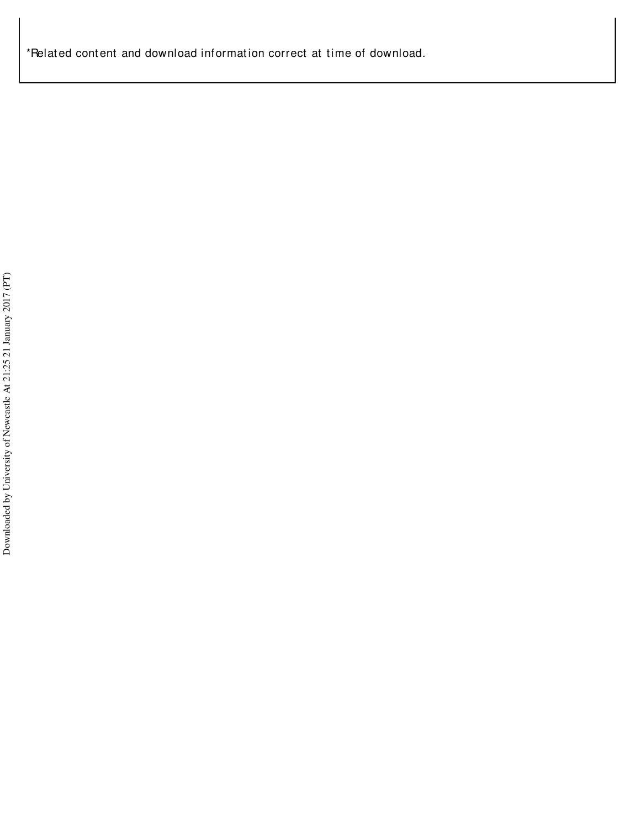\*Relat ed cont ent and download informat ion correct at t ime of download.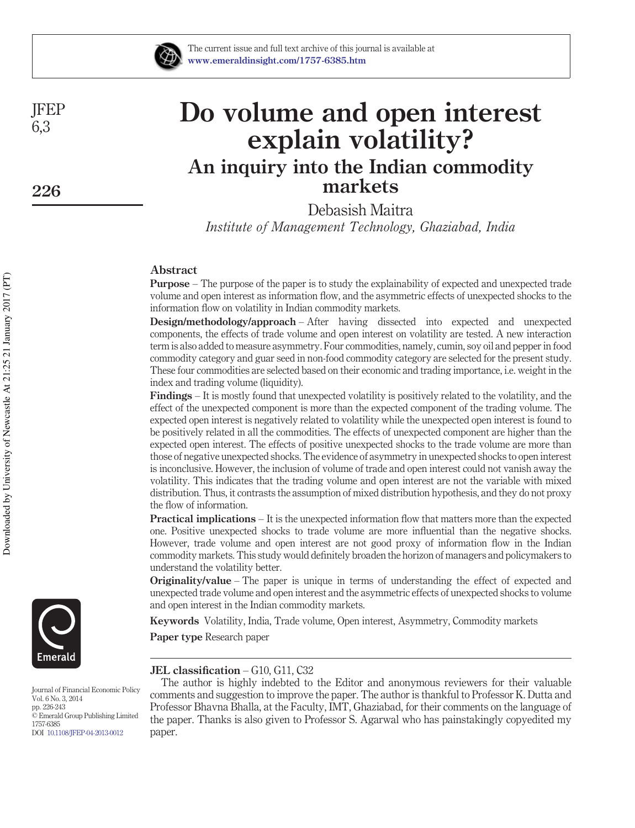

JFEP 6,3

**226**

# **Do volume and open interest explain volatility? An inquiry into the Indian commodity markets**

Debasish Maitra

*Institute of Management Technology, Ghaziabad, India*

#### **Abstract**

**Purpose** – The purpose of the paper is to study the explainability of expected and unexpected trade volume and open interest as information flow, and the asymmetric effects of unexpected shocks to the information flow on volatility in Indian commodity markets.

**Design/methodology/approach** – After having dissected into expected and unexpected components, the effects of trade volume and open interest on volatility are tested. A new interaction term is also added to measure asymmetry. Four commodities, namely, cumin, soy oil and pepper in food commodity category and guar seed in non-food commodity category are selected for the present study. These four commodities are selected based on their economic and trading importance, i.e. weight in the index and trading volume (liquidity).

**Findings** – It is mostly found that unexpected volatility is positively related to the volatility, and the effect of the unexpected component is more than the expected component of the trading volume. The expected open interest is negatively related to volatility while the unexpected open interest is found to be positively related in all the commodities. The effects of unexpected component are higher than the expected open interest. The effects of positive unexpected shocks to the trade volume are more than those of negative unexpected shocks. The evidence of asymmetry in unexpected shocks to open interest is inconclusive. However, the inclusion of volume of trade and open interest could not vanish away the volatility. This indicates that the trading volume and open interest are not the variable with mixed distribution. Thus, it contrasts the assumption of mixed distribution hypothesis, and they do not proxy the flow of information.

**Practical implications** – It is the unexpected information flow that matters more than the expected one. Positive unexpected shocks to trade volume are more influential than the negative shocks. However, trade volume and open interest are not good proxy of information flow in the Indian commodity markets. This study would definitely broaden the horizon of managers and policymakers to understand the volatility better.

**Originality/value** – The paper is unique in terms of understanding the effect of expected and unexpected trade volume and open interest and the asymmetric effects of unexpected shocks to volume and open interest in the Indian commodity markets.

**Keywords** Volatility, India, Trade volume, Open interest, Asymmetry, Commodity markets

**Paper type** Research paper

#### **JEL classification** – G10, G11, C32

The author is highly indebted to the Editor and anonymous reviewers for their valuable comments and suggestion to improve the paper. The author is thankful to Professor K. Dutta and Professor Bhavna Bhalla, at the Faculty, IMT, Ghaziabad, for their comments on the language of the paper. Thanks is also given to Professor S. Agarwal who has painstakingly copyedited my paper.



Journal of Financial Economic Policy Vol. 6 No. 3, 2014 pp. 226-243 © Emerald Group Publishing Limited 1757-6385 DOI 10.1108/JFEP-04-2013-0012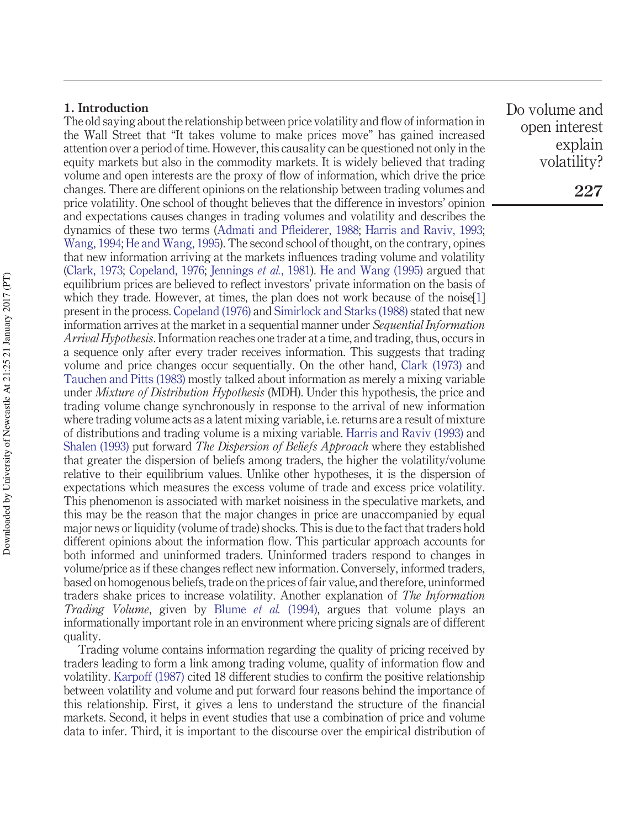#### **1. Introduction**

The old saying about the relationship between price volatility and flow of information in the Wall Street that "It takes volume to make prices move" has gained increased attention over a period of time. However, this causality can be questioned not only in the equity markets but also in the commodity markets. It is widely believed that trading volume and open interests are the proxy of flow of information, which drive the price changes. There are different opinions on the relationship between trading volumes and price volatility. One school of thought believes that the difference in investors' opinion and expectations causes changes in trading volumes and volatility and describes the dynamics of these two terms (Admati and Pfleiderer, 1988; Harris and Raviv, 1993; Wang, 1994; He and Wang, 1995). The second school of thought, on the contrary, opines that new information arriving at the markets influences trading volume and volatility (Clark, 1973; Copeland, 1976; Jennings *et al.*, 1981). He and Wang (1995) argued that equilibrium prices are believed to reflect investors' private information on the basis of which they trade. However, at times, the plan does not work because of the noise[1] present in the process. Copeland (1976) and Simirlock and Starks (1988) stated that new information arrives at the market in a sequential manner under *Sequential Information Arrival Hypothesis*. Information reaches one trader at a time, and trading, thus, occurs in a sequence only after every trader receives information. This suggests that trading volume and price changes occur sequentially. On the other hand, Clark (1973) and Tauchen and Pitts (1983) mostly talked about information as merely a mixing variable under *Mixture of Distribution Hypothesis* (MDH). Under this hypothesis, the price and trading volume change synchronously in response to the arrival of new information where trading volume acts as a latent mixing variable, i.e. returns are a result of mixture of distributions and trading volume is a mixing variable. Harris and Raviv (1993) and Shalen (1993) put forward *The Dispersion of Beliefs Approach* where they established that greater the dispersion of beliefs among traders, the higher the volatility/volume relative to their equilibrium values. Unlike other hypotheses, it is the dispersion of expectations which measures the excess volume of trade and excess price volatility. This phenomenon is associated with market noisiness in the speculative markets, and this may be the reason that the major changes in price are unaccompanied by equal major news or liquidity (volume of trade) shocks. This is due to the fact that traders hold different opinions about the information flow. This particular approach accounts for both informed and uninformed traders. Uninformed traders respond to changes in volume/price as if these changes reflect new information. Conversely, informed traders, based on homogenous beliefs, trade on the prices of fair value, and therefore, uninformed traders shake prices to increase volatility. Another explanation of *The Information Trading Volume*, given by Blume *et al.* (1994), argues that volume plays an informationally important role in an environment where pricing signals are of different quality.

Trading volume contains information regarding the quality of pricing received by traders leading to form a link among trading volume, quality of information flow and volatility. Karpoff (1987) cited 18 different studies to confirm the positive relationship between volatility and volume and put forward four reasons behind the importance of this relationship. First, it gives a lens to understand the structure of the financial markets. Second, it helps in event studies that use a combination of price and volume data to infer. Third, it is important to the discourse over the empirical distribution of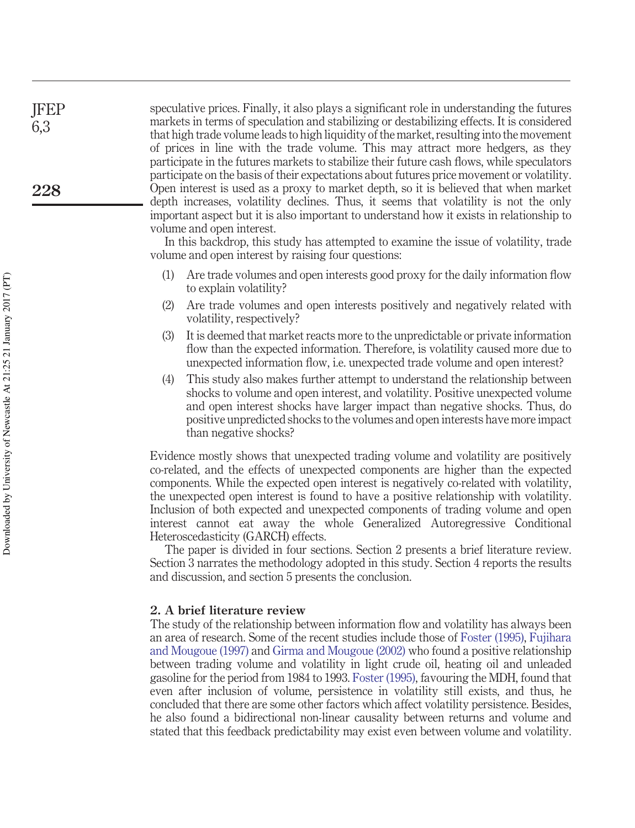speculative prices. Finally, it also plays a significant role in understanding the futures markets in terms of speculation and stabilizing or destabilizing effects. It is considered that high trade volume leads to high liquidity of the market, resulting into the movement of prices in line with the trade volume. This may attract more hedgers, as they participate in the futures markets to stabilize their future cash flows, while speculators participate on the basis of their expectations about futures price movement or volatility. Open interest is used as a proxy to market depth, so it is believed that when market depth increases, volatility declines. Thus, it seems that volatility is not the only important aspect but it is also important to understand how it exists in relationship to volume and open interest.

In this backdrop, this study has attempted to examine the issue of volatility, trade volume and open interest by raising four questions:

- (1) Are trade volumes and open interests good proxy for the daily information flow to explain volatility?
- (2) Are trade volumes and open interests positively and negatively related with volatility, respectively?
- (3) It is deemed that market reacts more to the unpredictable or private information flow than the expected information. Therefore, is volatility caused more due to unexpected information flow, i.e. unexpected trade volume and open interest?
- (4) This study also makes further attempt to understand the relationship between shocks to volume and open interest, and volatility. Positive unexpected volume and open interest shocks have larger impact than negative shocks. Thus, do positive unpredicted shocks to the volumes and open interests have more impact than negative shocks?

Evidence mostly shows that unexpected trading volume and volatility are positively co-related, and the effects of unexpected components are higher than the expected components. While the expected open interest is negatively co-related with volatility, the unexpected open interest is found to have a positive relationship with volatility. Inclusion of both expected and unexpected components of trading volume and open interest cannot eat away the whole Generalized Autoregressive Conditional Heteroscedasticity (GARCH) effects.

The paper is divided in four sections. Section 2 presents a brief literature review. Section 3 narrates the methodology adopted in this study. Section 4 reports the results and discussion, and section 5 presents the conclusion.

#### **2. A brief literature review**

The study of the relationship between information flow and volatility has always been an area of research. Some of the recent studies include those of Foster (1995), Fujihara and Mougoue (1997) and Girma and Mougoue (2002) who found a positive relationship between trading volume and volatility in light crude oil, heating oil and unleaded gasoline for the period from 1984 to 1993. Foster (1995), favouring the MDH, found that even after inclusion of volume, persistence in volatility still exists, and thus, he concluded that there are some other factors which affect volatility persistence. Besides, he also found a bidirectional non-linear causality between returns and volume and stated that this feedback predictability may exist even between volume and volatility.

JFEP 6,3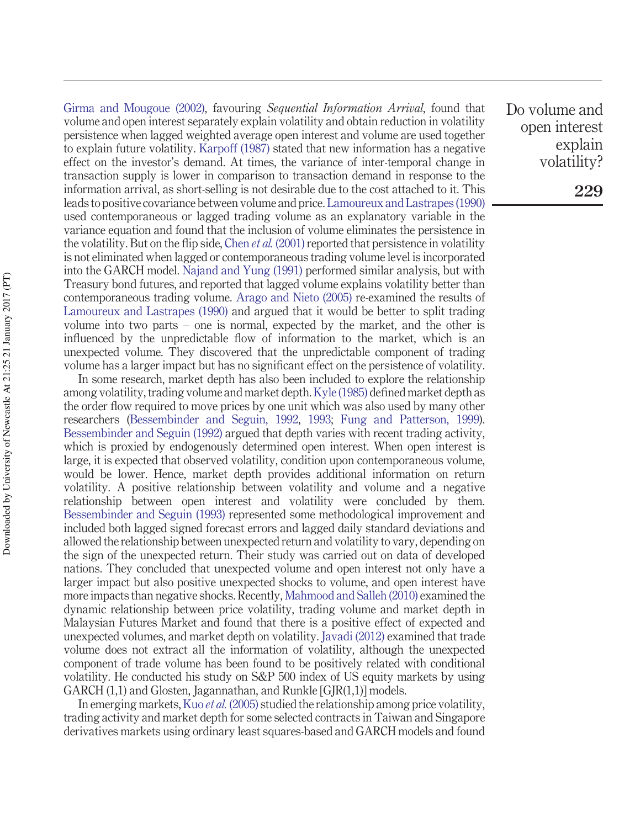Girma and Mougoue (2002), favouring *Sequential Information Arrival*, found that volume and open interest separately explain volatility and obtain reduction in volatility persistence when lagged weighted average open interest and volume are used together to explain future volatility. Karpoff (1987) stated that new information has a negative effect on the investor's demand. At times, the variance of inter-temporal change in transaction supply is lower in comparison to transaction demand in response to the information arrival, as short-selling is not desirable due to the cost attached to it. This leads to positive covariance between volume and price. Lamoureux and Lastrapes (1990) used contemporaneous or lagged trading volume as an explanatory variable in the variance equation and found that the inclusion of volume eliminates the persistence in the volatility. But on the flip side, Chen *et al.* (2001) reported that persistence in volatility is not eliminated when lagged or contemporaneous trading volume level is incorporated into the GARCH model. Najand and Yung (1991) performed similar analysis, but with Treasury bond futures, and reported that lagged volume explains volatility better than contemporaneous trading volume. Arago and Nieto (2005) re-examined the results of Lamoureux and Lastrapes (1990) and argued that it would be better to split trading volume into two parts – one is normal, expected by the market, and the other is influenced by the unpredictable flow of information to the market, which is an unexpected volume. They discovered that the unpredictable component of trading volume has a larger impact but has no significant effect on the persistence of volatility.

In some research, market depth has also been included to explore the relationship among volatility, trading volume and market depth.Kyle (1985) defined market depth as the order flow required to move prices by one unit which was also used by many other researchers (Bessembinder and Seguin, 1992, 1993; Fung and Patterson, 1999). Bessembinder and Seguin (1992) argued that depth varies with recent trading activity, which is proxied by endogenously determined open interest. When open interest is large, it is expected that observed volatility, condition upon contemporaneous volume, would be lower. Hence, market depth provides additional information on return volatility. A positive relationship between volatility and volume and a negative relationship between open interest and volatility were concluded by them. Bessembinder and Seguin (1993) represented some methodological improvement and included both lagged signed forecast errors and lagged daily standard deviations and allowed the relationship between unexpected return and volatility to vary, depending on the sign of the unexpected return. Their study was carried out on data of developed nations. They concluded that unexpected volume and open interest not only have a larger impact but also positive unexpected shocks to volume, and open interest have more impacts than negative shocks. Recently, Mahmood and Salleh (2010) examined the dynamic relationship between price volatility, trading volume and market depth in Malaysian Futures Market and found that there is a positive effect of expected and unexpected volumes, and market depth on volatility. Javadi (2012) examined that trade volume does not extract all the information of volatility, although the unexpected component of trade volume has been found to be positively related with conditional volatility. He conducted his study on S&P 500 index of US equity markets by using GARCH (1,1) and Glosten, Jagannathan, and Runkle [GJR(1,1)] models.

In emerging markets,Kuo *et al.* (2005) studied the relationship among price volatility, trading activity and market depth for some selected contracts in Taiwan and Singapore derivatives markets using ordinary least squares-based and GARCH models and found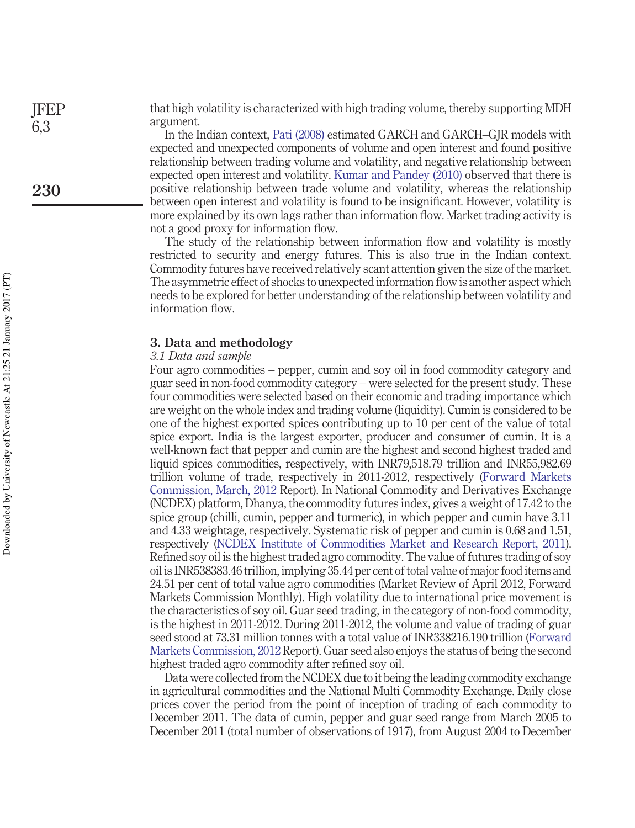that high volatility is characterized with high trading volume, thereby supporting MDH argument.

In the Indian context, Pati (2008) estimated GARCH and GARCH–GJR models with expected and unexpected components of volume and open interest and found positive relationship between trading volume and volatility, and negative relationship between expected open interest and volatility. Kumar and Pandey (2010) observed that there is positive relationship between trade volume and volatility, whereas the relationship between open interest and volatility is found to be insignificant. However, volatility is more explained by its own lags rather than information flow. Market trading activity is not a good proxy for information flow.

The study of the relationship between information flow and volatility is mostly restricted to security and energy futures. This is also true in the Indian context. Commodity futures have received relatively scant attention given the size of the market. The asymmetric effect of shocks to unexpected information flow is another aspect which needs to be explored for better understanding of the relationship between volatility and information flow.

#### **3. Data and methodology**

#### *3.1 Data and sample*

Four agro commodities – pepper, cumin and soy oil in food commodity category and guar seed in non-food commodity category – were selected for the present study. These four commodities were selected based on their economic and trading importance which are weight on the whole index and trading volume (liquidity). Cumin is considered to be one of the highest exported spices contributing up to 10 per cent of the value of total spice export. India is the largest exporter, producer and consumer of cumin. It is a well-known fact that pepper and cumin are the highest and second highest traded and liquid spices commodities, respectively, with INR79,518.79 trillion and INR55,982.69 trillion volume of trade, respectively in 2011-2012, respectively (Forward Markets Commission, March, 2012 Report). In National Commodity and Derivatives Exchange (NCDEX) platform, Dhanya, the commodity futures index, gives a weight of 17.42 to the spice group (chilli, cumin, pepper and turmeric), in which pepper and cumin have 3.11 and 4.33 weightage, respectively. Systematic risk of pepper and cumin is 0.68 and 1.51, respectively (NCDEX Institute of Commodities Market and Research Report, 2011). Refined soy oil is the highest traded agro commodity. The value of futures trading of soy oil is INR538383.46 trillion, implying 35.44 per cent of total value of major food items and 24.51 per cent of total value agro commodities (Market Review of April 2012, Forward Markets Commission Monthly). High volatility due to international price movement is the characteristics of soy oil. Guar seed trading, in the category of non-food commodity, is the highest in 2011-2012. During 2011-2012, the volume and value of trading of guar seed stood at 73.31 million tonnes with a total value of INR338216.190 trillion (Forward Markets Commission, 2012 Report). Guar seed also enjoys the status of being the second highest traded agro commodity after refined soy oil.

Data were collected from the NCDEX due to it being the leading commodity exchange in agricultural commodities and the National Multi Commodity Exchange. Daily close prices cover the period from the point of inception of trading of each commodity to December 2011. The data of cumin, pepper and guar seed range from March 2005 to December 2011 (total number of observations of 1917), from August 2004 to December

JFEP 6,3

**230**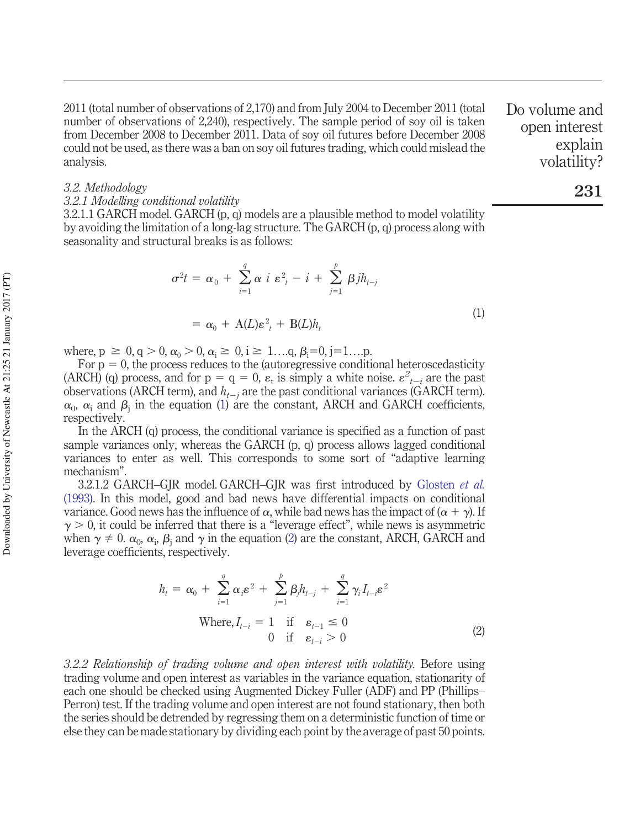2011 (total number of observations of 2,170) and from July 2004 to December 2011 (total number of observations of 2,240), respectively. The sample period of soy oil is taken from December 2008 to December 2011. Data of soy oil futures before December 2008 could not be used, as there was a ban on soy oil futures trading, which could mislead the analysis.

*3.2. Methodology*

#### *3.2.1 Modelling conditional volatility*

3.2.1.1 GARCH model. GARCH (p, q) models are a plausible method to model volatility by avoiding the limitation of a long-lag structure. The GARCH (p, q) process along with seasonality and structural breaks is as follows:

$$
\sigma^2 t = \alpha_0 + \sum_{i=1}^q \alpha i \epsilon_i^2 - i + \sum_{j=1}^p \beta j h_{t-j}
$$
  
=  $\alpha_0 + A(L) \epsilon_i^2 + B(L) h_t$  (1)

where,  $p \ge 0$ ,  $q > 0$ ,  $\alpha_0 > 0$ ,  $\alpha_i \ge 0$ ,  $i \ge 1...$ , q,  $\beta_i = 0$ ,  $j = 1...$ ...

For  $p = 0$ , the process reduces to the (autoregressive conditional heteroscedasticity (ARCH) (q) process, and for  $p = q = 0$ ,  $\varepsilon_t$  is simply a white noise.  $\varepsilon^2_{t-i}$  are the past observations (ARCH term), and *ht<sup>j</sup>* are the past conditional variances (GARCH term).  $\alpha_0$ ,  $\alpha_i$  and  $\beta_j$  in the equation (1) are the constant, ARCH and GARCH coefficients, respectively.

In the ARCH (q) process, the conditional variance is specified as a function of past sample variances only, whereas the GARCH (p, q) process allows lagged conditional variances to enter as well. This corresponds to some sort of "adaptive learning mechanism".

3.2.1.2 GARCH–GJR model. GARCH–GJR was first introduced by Glosten *et al.* (1993). In this model, good and bad news have differential impacts on conditional variance. Good news has the influence of  $\alpha$ , while bad news has the impact of  $(\alpha + \gamma)$ . If  $\gamma > 0$ , it could be inferred that there is a "leverage effect", while news is asymmetric when  $\gamma \neq 0$ .  $\alpha_0$ ,  $\alpha_i$ ,  $\beta_j$  and  $\gamma$  in the equation (2) are the constant, ARCH, GARCH and leverage coefficients, respectively.

$$
h_{t} = \alpha_{0} + \sum_{i=1}^{q} \alpha_{i} \varepsilon^{2} + \sum_{j=1}^{p} \beta_{j} h_{t-j} + \sum_{i=1}^{q} \gamma_{i} I_{t-i} \varepsilon^{2}
$$
  
Where,  $I_{t-i} = 1$  if  $\varepsilon_{t-1} \le 0$   
0 if  $\varepsilon_{t-i} > 0$  (2)

*3.2.2 Relationship of trading volume and open interest with volatility.* Before using trading volume and open interest as variables in the variance equation, stationarity of each one should be checked using Augmented Dickey Fuller (ADF) and PP (Phillips– Perron) test. If the trading volume and open interest are not found stationary, then both the series should be detrended by regressing them on a deterministic function of time or else they can be made stationary by dividing each point by the average of past 50 points. Do volume and open interest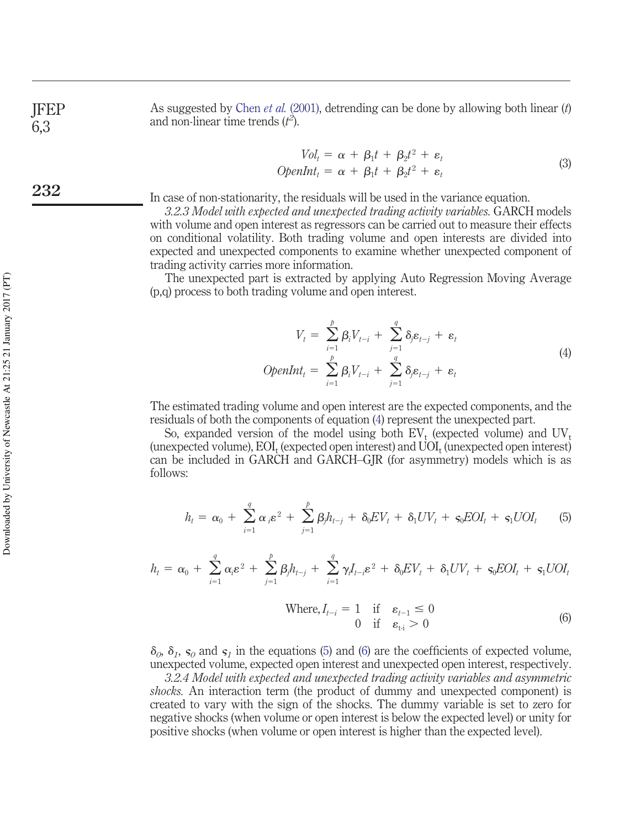As suggested by Chen *et al.* (2001), detrending can be done by allowing both linear (*t*) and non-linear time trends  $(t^2)$ .

$$
Vol_t = \alpha + \beta_1 t + \beta_2 t^2 + \varepsilon_t
$$
  
OpenInt<sub>t</sub> =  $\alpha + \beta_1 t + \beta_2 t^2 + \varepsilon_t$  (3)

In case of non-stationarity, the residuals will be used in the variance equation.

*3.2.3 Model with expected and unexpected trading activity variables.* GARCH models with volume and open interest as regressors can be carried out to measure their effects on conditional volatility. Both trading volume and open interests are divided into expected and unexpected components to examine whether unexpected component of trading activity carries more information.

The unexpected part is extracted by applying Auto Regression Moving Average (p,q) process to both trading volume and open interest.

$$
V_t = \sum_{i=1}^{\rho} \beta_i V_{t-i} + \sum_{j=1}^{q} \delta_j \varepsilon_{t-j} + \varepsilon_t
$$
  
OpenInt<sub>t</sub> =  $\sum_{i=1}^{\rho} \beta_i V_{t-i} + \sum_{j=1}^{q} \delta_j \varepsilon_{t-j} + \varepsilon_t$  (4)

The estimated trading volume and open interest are the expected components, and the residuals of both the components of equation (4) represent the unexpected part.

So, expanded version of the model using both  $EV_t$  (expected volume) and  $UV_t$ (unexpected volume),  ${\rm EOI}_{\rm t}$  (expected open interest) and  ${\rm UOI}_{\rm t}$  (unexpected open interest) can be included in GARCH and GARCH–GJR (for asymmetry) models which is as follows:

$$
h_t = \alpha_0 + \sum_{i=1}^q \alpha_i \varepsilon^2 + \sum_{j=1}^p \beta_j h_{t-j} + \delta_0 EV_t + \delta_1 UV_t + \varsigma_0 EOI_t + \varsigma_1 UOI_t \qquad (5)
$$

$$
h_t = \alpha_0 + \sum_{i=1}^q \alpha_i \varepsilon^2 + \sum_{j=1}^p \beta_j h_{t-j} + \sum_{i=1}^q \gamma_i I_{t-i} \varepsilon^2 + \delta_0 E V_t + \delta_1 UV_t + \varsigma_0 E O I_t + \varsigma_1 U O I_t
$$

Where, 
$$
I_{t-i} = 1
$$
 if  $\varepsilon_{t-1} \le 0$   
0 if  $\varepsilon_{t-i} > 0$  (6)

 $\delta_0$ ,  $\delta_1$ ,  $\varsigma_0$  and  $\varsigma_1$  in the equations (5) and (6) are the coefficients of expected volume, unexpected volume, expected open interest and unexpected open interest, respectively.

*3.2.4 Model with expected and unexpected trading activity variables and asymmetric shocks.* An interaction term (the product of dummy and unexpected component) is created to vary with the sign of the shocks. The dummy variable is set to zero for negative shocks (when volume or open interest is below the expected level) or unity for positive shocks (when volume or open interest is higher than the expected level).

JFEP 6,3

**232**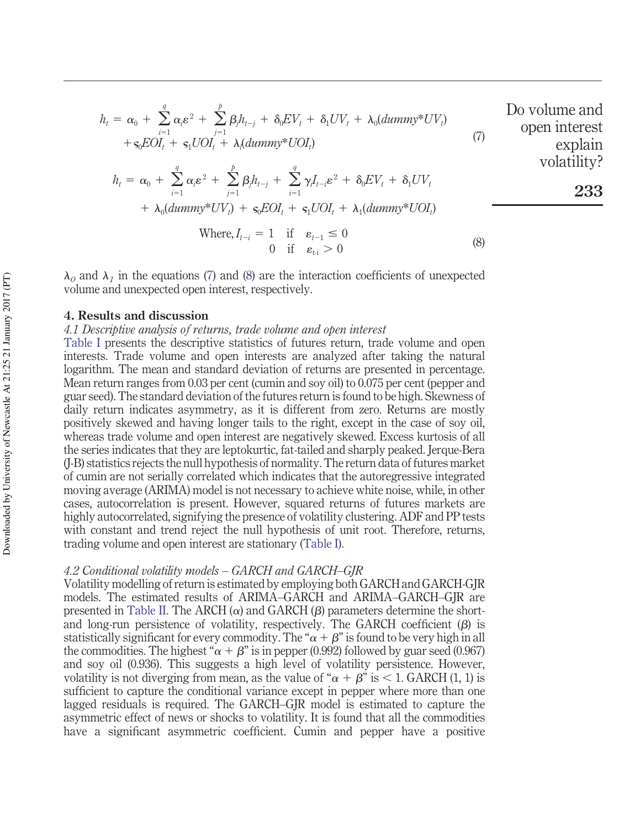$$
h_{t} = \alpha_{0} + \sum_{i=1}^{q} \alpha_{i} \varepsilon^{2} + \sum_{j=1}^{p} \beta_{j} h_{t-j} + \delta_{0} EV_{t} + \delta_{1} UV_{t} + \lambda_{0} (dummy^{*}UV_{t})
$$
 Do volume and open interest  
+ $\varsigma_{0} EOL_{t} + \varsigma_{1} UOL_{t} + \lambda_{1} (dummy^{*}UOL_{t})$  (7)

**233**

$$
h_t = \alpha_0 + \sum_{i=1}^q \alpha_i \varepsilon^2 + \sum_{j=1}^p \beta_j h_{t-j} + \sum_{i=1}^q \gamma_i I_{t-i} \varepsilon^2 + \delta_0 E V_t + \delta_1 UV_t
$$
  
+  $\lambda_0 (d\mu m m y^* UV_t) + \varsigma_0 E O I_t + \varsigma_1 U O I_t + \lambda_1 (d\mu m m y^* U O I_t)$ 

Where, 
$$
I_{t-i} = 1 \quad \text{if} \quad \varepsilon_{t-1} \leq 0
$$

$$
0 \quad \text{if} \quad \varepsilon_{t-i} > 0 \tag{8}
$$

 $\lambda_0$  and  $\lambda_1$  in the equations (7) and (8) are the interaction coefficients of unexpected volume and unexpected open interest, respectively.

#### **4. Results and discussion**

#### *4.1 Descriptive analysis of returns, trade volume and open interest*

Table I presents the descriptive statistics of futures return, trade volume and open interests. Trade volume and open interests are analyzed after taking the natural logarithm. The mean and standard deviation of returns are presented in percentage. Mean return ranges from 0.03 per cent (cumin and soy oil) to 0.075 per cent (pepper and guar seed). The standard deviation of the futures return is found to be high. Skewness of daily return indicates asymmetry, as it is different from zero. Returns are mostly positively skewed and having longer tails to the right, except in the case of soy oil, whereas trade volume and open interest are negatively skewed. Excess kurtosis of all the series indicates that they are leptokurtic, fat-tailed and sharply peaked. Jerque-Bera (J-B) statistics rejects the null hypothesis of normality. The return data of futures market of cumin are not serially correlated which indicates that the autoregressive integrated moving average (ARIMA) model is not necessary to achieve white noise, while, in other cases, autocorrelation is present. However, squared returns of futures markets are highly autocorrelated, signifying the presence of volatility clustering. ADF and PP tests with constant and trend reject the null hypothesis of unit root. Therefore, returns, trading volume and open interest are stationary (Table I).

#### *4.2 Conditional volatility models – GARCH and GARCH–GJR*

Volatility modelling of return is estimated by employing both GARCH and GARCH-GJR models. The estimated results of ARIMA–GARCH and ARIMA–GARCH–GJR are presented in Table II. The ARCH  $(\alpha)$  and GARCH  $(\beta)$  parameters determine the shortand long-run persistence of volatility, respectively. The GARCH coefficient  $(\beta)$  is statistically significant for every commodity. The " $\alpha + \beta$ " is found to be very high in all the commodities. The highest " $\alpha + \beta$ " is in pepper (0.992) followed by guar seed (0.967) and soy oil (0.936). This suggests a high level of volatility persistence. However, volatility is not diverging from mean, as the value of " $\alpha + \beta$ " is < 1. GARCH (1, 1) is sufficient to capture the conditional variance except in pepper where more than one lagged residuals is required. The GARCH–GJR model is estimated to capture the asymmetric effect of news or shocks to volatility. It is found that all the commodities have a significant asymmetric coefficient. Cumin and pepper have a positive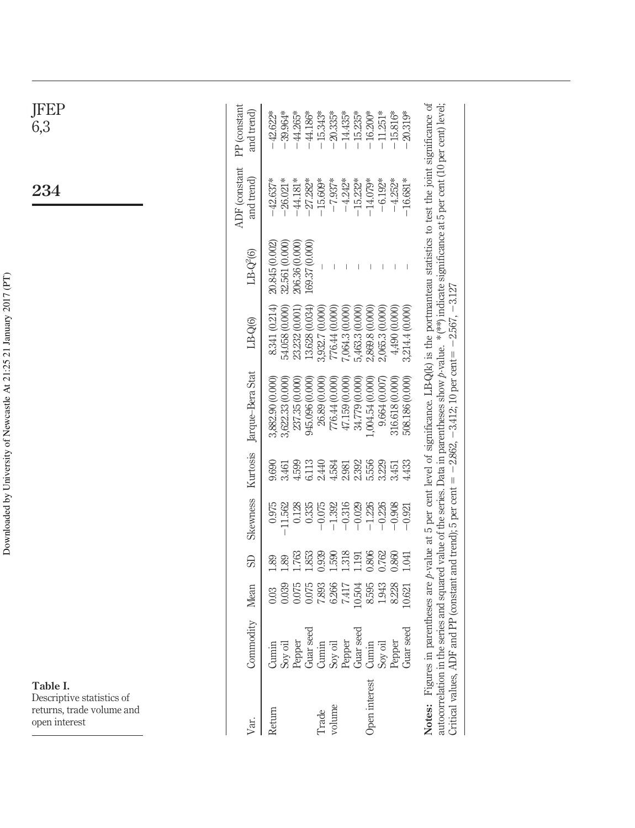| Table I.<br>Descriptive statistics of<br>returns, trade volume and<br>open interest |                                                      |                                             |                                          |                                                          |                                           |                                                                                                                                                                                                                                                                                                                                                                                                                               |                                                                                           |                                                    | 234                                                              | JFEP<br>6,3                                                        |
|-------------------------------------------------------------------------------------|------------------------------------------------------|---------------------------------------------|------------------------------------------|----------------------------------------------------------|-------------------------------------------|-------------------------------------------------------------------------------------------------------------------------------------------------------------------------------------------------------------------------------------------------------------------------------------------------------------------------------------------------------------------------------------------------------------------------------|-------------------------------------------------------------------------------------------|----------------------------------------------------|------------------------------------------------------------------|--------------------------------------------------------------------|
| Var                                                                                 | Commodity                                            | Mean                                        | <b>G</b>                                 | Skewness                                                 | Kurtosis                                  | Jarque-Bera Stat                                                                                                                                                                                                                                                                                                                                                                                                              | $LB-Q(6)$                                                                                 | $LB-Q2(6)$                                         | <b>ADF</b> (constant<br>and trend)                               | PP (constant<br>and trend)                                         |
| Return                                                                              | Soy oil<br>Pepper<br>Guar seed<br>Cumin              | 0.075<br>0.039<br>0.03                      | 1.763<br>1.89<br>1.89                    | 0.975<br>$-11.562$<br>0.128                              | 9.690<br>4.599<br>3.461                   | 3,622.33 (0.000)<br>237.35 (0.000)<br>3,882.90 (0.000)                                                                                                                                                                                                                                                                                                                                                                        | 8.341 (0.214)<br>54.058 (0.000)<br>23.232 (0.001                                          | 32.561 (0.000)<br>206.36 (0.000)<br>20.845 (0.002) | $-42.637*$<br>$-26.021*$<br>$-44.181*$                           | $-42.622*$<br>$-39.964*$<br>$-44.265*$<br>$-44.186*$               |
| volume<br>Trade                                                                     | Soy oil<br>Pepper<br>Cumin                           | 6.266<br>0.075<br>7.893<br>7.417            | 0.939<br>1.318<br>1.853<br>1.590         | $-1.392$<br>$-0.316$<br>0.335<br>$-0.075$                | 6.113<br>2.440<br>4.584<br>2.981          | 776.44 (0.000)<br>(0.000)<br>945.096 (0.000)<br>26.89 (0.000)<br>47.159                                                                                                                                                                                                                                                                                                                                                       | 13.628 (0.034)<br>3,932.7 (0.000)<br>776.44 (0.000)<br>7,064.3 (0.000)                    | 169.37 (0.000)                                     | $-27.282*$<br>$-15.609*$<br>$-7.937*$<br>$-4.242*$               | $-15.343*$<br>$-20.335*$<br>$-14.435*$                             |
| Open interest                                                                       | Guar seed<br>Guar seed<br>Pepper<br>Cumin<br>Soy oil | 10.504<br>8.595<br>1.943<br>8.228<br>10.621 | 0.806<br>0.762<br>0.860<br>1.191<br>L041 | $-1.226$<br>$-0.908$<br>$-0.029$<br>$-0.226$<br>$-0.921$ | 2.392<br>4.433<br>5.556<br>3.229<br>3.451 | 316.618 (0.000)<br>508.186 (0.000)<br>(0.000)<br>1,004.54 (0.000)<br>9.664 (0.007)<br>34.779 (                                                                                                                                                                                                                                                                                                                                | 4,490 (0.000)<br>3,214.4 (0.000)<br>5,463.3 (0.000)<br>2,869.8 (0.000)<br>2,065.3 (0.000) |                                                    | $-4.252*$<br>$-16.681*$<br>$-15.232*$<br>$-14.079*$<br>$-6.192*$ | $-20.319*$<br>$-15.235*$<br>$-16.200*$<br>$-11.251*$<br>$-15.816*$ |
| Critical values, ADF an                                                             |                                                      |                                             |                                          |                                                          |                                           | Notes: Figures in parentheses are p-value at 5 per cent level of significance. LB-Q(k) is the portmanteau statistics to test the joint significance of<br>autocorrelation in the series and squared value of the series. Data in parentheses show p-value. *(**) indicate significance at 5 per cent (10 per cent) level;<br>id PP (constant and trend); 5 per cent = $-2.862$ , $-3.412$ ; 10 per cent = $-2.567$ , $-3.127$ |                                                                                           |                                                    |                                                                  |                                                                    |

Downloaded by University of Newcastle At 21:25 21 January 2017 (PT) Downloaded by University of Newcastle At 21:25 21 January 2017 (PT)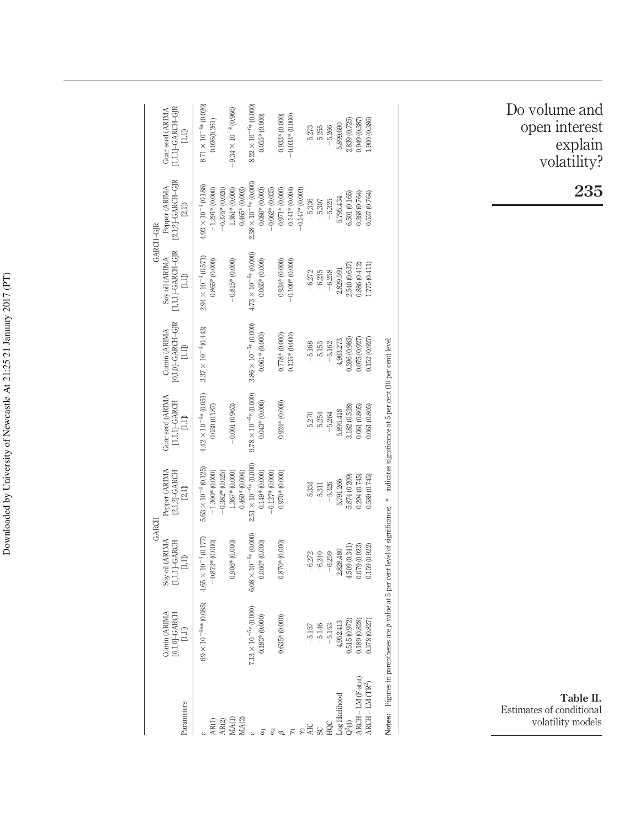| Parameters       | Cumin (ARIMA<br>$[0,1,0]$ -GARCH<br>$\Box$                                                                                                        | GARCH<br>Soy oil (ARIMA<br>$[1,1,1]$ -GARCH<br>$\Xi$ | Pepper (ARIMA<br>2,1,2]-GARCH<br>[2,1]                                    | Guar seed (ARIMA<br>$[1,1,1]$ -GARCH<br>$\Box$  | 0,1,0]-GARCH-GJR<br>Cumin (ARIMA<br>Ē | $[1,1,1]$ -GARCH-GJR<br>Soy oil (ARIMA<br>1,1)    | $[2,1,2]$ -GARCH-GJR<br>Pepper (ARIMA<br>GARCH-GJR                     | $[1,1,1]$ -GARCH-GJR<br>Guar seed (ARIMA<br>$\Box$ |
|------------------|---------------------------------------------------------------------------------------------------------------------------------------------------|------------------------------------------------------|---------------------------------------------------------------------------|-------------------------------------------------|---------------------------------------|---------------------------------------------------|------------------------------------------------------------------------|----------------------------------------------------|
| AR(1)<br>AR(2)   | $6.9 \times 10^{-4}$ ** (0.085)                                                                                                                   | $4.65 \times 10^{-4} (0.177)$<br>$-0.872*$ (0.000)   | $5.63 \times 10^{-4} (0.125)$<br>$-1.300*$ (0.000)<br>$-0.382*$ $(0.025)$ | $4.42 \times 10^{-4}$ * (0.051)<br>0.030(0.187) | $3.37 \times 10^{-4} (0.443)$         | $2.94 \times 10^{-4} (0.571)$<br>$0.865*$ (0.000) | $4.93 \times 10^{-4} (0.186)$<br>$-1.291*(0.000)$<br>$-0.375*$ (0.026) | $8.71 \times 10^{-4*} (0.020)$<br>0.026(0.261)     |
| MA(2)<br>MA(1)   |                                                                                                                                                   | $0.906* (0.000)$                                     | $1.367*$ (0.000)<br>$0.469* (0.004)$                                      | $-0.001(0.963)$                                 |                                       | $-0.815* (0.000)$                                 | $1.361* (0.000)$<br>$0.465* (0.003)$                                   | $-9.34 \times 10^{-4} (0.966)$                     |
| $\epsilon$       | $7.13 \times 10^{-5*} (0.000)$                                                                                                                    | $6.08 \times 10^{-6*} (0.000)$                       | $2.51 \times 10^{-6}$ (0.000)                                             | $9.78 \times 10^{-6*}$ (0.000)                  | $3.86 \times 10^{-5*} (0.000)$        | $4.73 \times 10^{-6*} (0.000)$                    | $2.38 \times 10^{-6} * (0.000)$                                        | $8.22 \times 10^{-6}$ % (0.000)                    |
| E                | $0.183*(0.000)$                                                                                                                                   | $0.066* (0.000)$                                     | $0.149* (0.000)$<br>$-0.127*(0.000)$                                      | $0.043*(0.000)$                                 | $0.061*(0.000)$                       | $0.065* (0.000)$                                  | $0.086* (0.003)$<br>$-0.062*$ (0.035)                                  | $0.055*(0.000)$                                    |
| $\frac{a}{a}$    | $0.635*(0.000)$                                                                                                                                   | $0.870*$ (0.000)                                     | $0.970* (0.000)$                                                          | $0.924*(0.000)$                                 | 0.0000) *82.75                        | $0.934*(0.000)$                                   | $0.971*(0.000)$                                                        | $0.933*(0.000)$                                    |
| h,               |                                                                                                                                                   |                                                      |                                                                           |                                                 | $0.135*(0.000)$                       | $-0.100*$ (0.000)                                 | $0.141*0.004$                                                          | $-0.033*(0.0000)$                                  |
| $\frac{1}{2}$    |                                                                                                                                                   |                                                      |                                                                           |                                                 |                                       |                                                   | $-0.147*0.003$                                                         |                                                    |
| <b>AIC</b>       |                                                                                                                                                   | $-6.272$                                             | $-5.334$                                                                  | $-5.270$                                        | $-5.168$                              | $-6.272$                                          | $-5.336$                                                               | $-5.273$                                           |
| S                | $-5.146$                                                                                                                                          | $-6.240$                                             | $-5.311$                                                                  | $-5.254$                                        | $-5.153$                              | $-6.235$                                          | $-5.307$                                                               | $-5.255$                                           |
| POE              | $-5.153$                                                                                                                                          | $-6.259$                                             | $-5.326$                                                                  | $-5.264$                                        | $-5.162$                              | $-6.258$                                          | $-5.325$                                                               | $-5.266$                                           |
| Log likelihood   | 4,952.413                                                                                                                                         | 2,828.480                                            | 5,791.266                                                                 | 5,895.418                                       | 4,963.273                             | 2,829.591                                         | 5,795.434                                                              | 5,899.690                                          |
| $Q^2(4)$         | 1,515 (0.972)                                                                                                                                     | 509 (0.341)                                          | 5.874 (0.209)                                                             | 1.182 (0.528)                                   | .396 (0.983                           | 2.540 (0.637                                      | 6.501 (0.165)                                                          | 2.839 (0.725                                       |
| ARCH-LM (F-stat) | 0.328 (0.828)                                                                                                                                     | 0.079(0.923)                                         | .294(0.745)                                                               | 0.805,00.100.005                                | 0.75 (0.927)                          | 0.886 (0.412)                                     | 0.268 (0.764)                                                          | 1880 666                                           |
| $ARCH-LM (TR3)$  | 0.378 (0.827)                                                                                                                                     | 0.159 (0.922)                                        | 1.589 (0.745)                                                             | 0.061(0.805)                                    | 0.152(0.927)                          | 1.775 (0.411)                                     | 0.537 (0.764)                                                          | .900 (0.386)                                       |
|                  | Notes: Figures in parentheses are <i>p</i> -value at 5 per cent level of significance; * indicates significance at 5 per cent (10 per cent) level |                                                      |                                                                           |                                                 |                                       |                                                   |                                                                        |                                                    |

Do volume and open interest explain volatility?

**235**

**Table II.** Estimates of conditional volatility models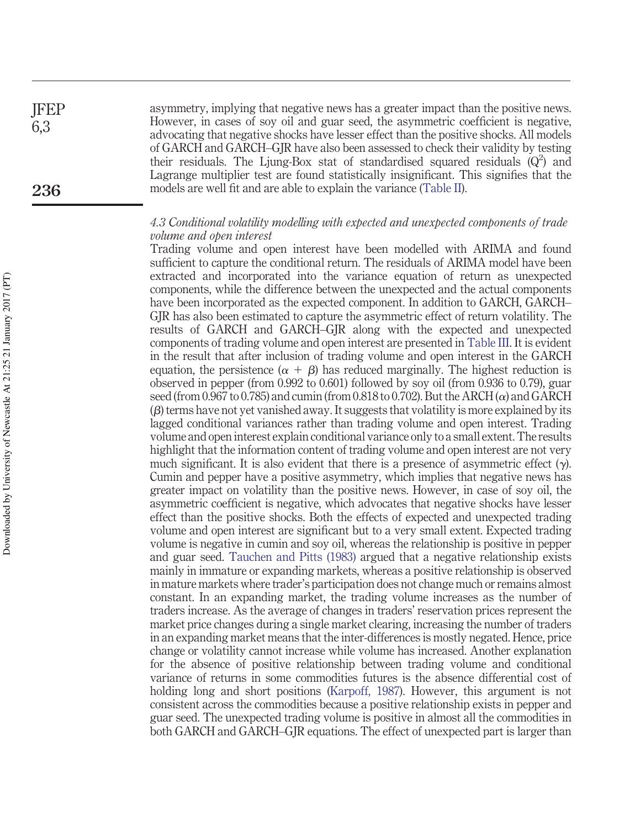asymmetry, implying that negative news has a greater impact than the positive news. However, in cases of soy oil and guar seed, the asymmetric coefficient is negative, advocating that negative shocks have lesser effect than the positive shocks. All models of GARCH and GARCH–GJR have also been assessed to check their validity by testing their residuals. The Ljung-Box stat of standardised squared residuals  $(Q^2)$  and Lagrange multiplier test are found statistically insignificant. This signifies that the models are well fit and are able to explain the variance (Table II). JFEP 6,3 **236**

#### *4.3 Conditional volatility modelling with expected and unexpected components of trade volume and open interest*

Trading volume and open interest have been modelled with ARIMA and found sufficient to capture the conditional return. The residuals of ARIMA model have been extracted and incorporated into the variance equation of return as unexpected components, while the difference between the unexpected and the actual components have been incorporated as the expected component. In addition to GARCH, GARCH– GJR has also been estimated to capture the asymmetric effect of return volatility. The results of GARCH and GARCH–GJR along with the expected and unexpected components of trading volume and open interest are presented in Table III. It is evident in the result that after inclusion of trading volume and open interest in the GARCH equation, the persistence  $(\alpha + \beta)$  has reduced marginally. The highest reduction is observed in pepper (from 0.992 to 0.601) followed by soy oil (from 0.936 to 0.79), guar seed (from 0.967 to 0.785) and cumin (from 0.818 to 0.702). But the ARCH  $(\alpha)$  and GARCH  $(\beta)$  terms have not yet vanished away. It suggests that volatility is more explained by its lagged conditional variances rather than trading volume and open interest. Trading volume and open interest explain conditional variance only to a small extent. The results highlight that the information content of trading volume and open interest are not very much significant. It is also evident that there is a presence of asymmetric effect  $(\gamma)$ . Cumin and pepper have a positive asymmetry, which implies that negative news has greater impact on volatility than the positive news. However, in case of soy oil, the asymmetric coefficient is negative, which advocates that negative shocks have lesser effect than the positive shocks. Both the effects of expected and unexpected trading volume and open interest are significant but to a very small extent. Expected trading volume is negative in cumin and soy oil, whereas the relationship is positive in pepper and guar seed. Tauchen and Pitts (1983) argued that a negative relationship exists mainly in immature or expanding markets, whereas a positive relationship is observed in mature markets where trader's participation does not change much or remains almost constant. In an expanding market, the trading volume increases as the number of traders increase. As the average of changes in traders' reservation prices represent the market price changes during a single market clearing, increasing the number of traders in an expanding market means that the inter-differences is mostly negated. Hence, price change or volatility cannot increase while volume has increased. Another explanation for the absence of positive relationship between trading volume and conditional variance of returns in some commodities futures is the absence differential cost of holding long and short positions (Karpoff, 1987). However, this argument is not consistent across the commodities because a positive relationship exists in pepper and guar seed. The unexpected trading volume is positive in almost all the commodities in both GARCH and GARCH–GJR equations. The effect of unexpected part is larger than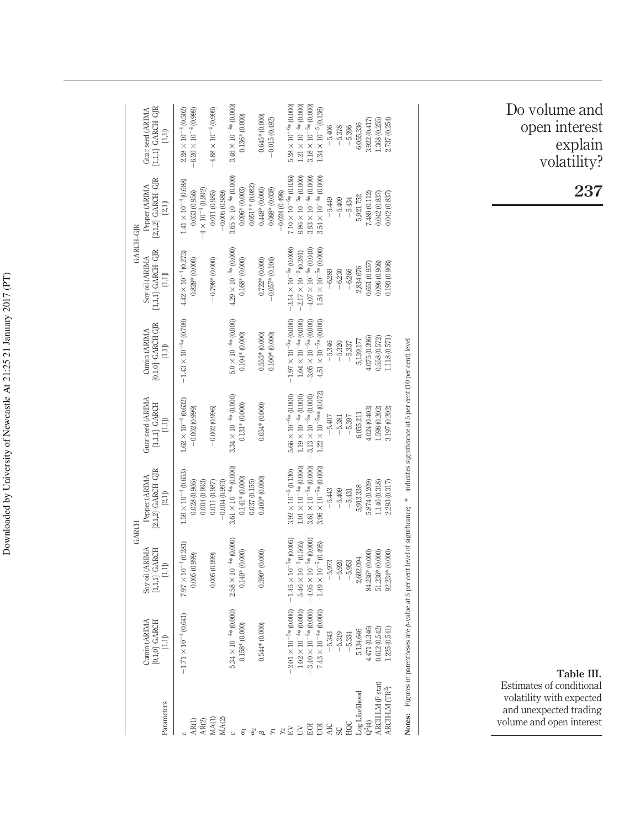|                                                                                                                                 |                                        |                                                                                              | GARCH                                                                                                                                             |                                                  |                                                | GARCH-GIR                                                                      |                                                                              |                                                                 |
|---------------------------------------------------------------------------------------------------------------------------------|----------------------------------------|----------------------------------------------------------------------------------------------|---------------------------------------------------------------------------------------------------------------------------------------------------|--------------------------------------------------|------------------------------------------------|--------------------------------------------------------------------------------|------------------------------------------------------------------------------|-----------------------------------------------------------------|
| Parameters                                                                                                                      | Cumin (ARIMA<br>$[0,1,0]$ -GARCH<br>Ē. | Soy oil (ARIMA<br>$[1,1,1]\text{-}\text{GARCH}$<br>$\begin{array}{c} 111 \\ 111 \end{array}$ | [2,1,2]-GARCH-GJR<br>Pepper (ARIMA<br>[2,1]                                                                                                       | Guar seed (ARIMA<br>$[1,1,1]$ -GARCH<br>Ē.       | $[0,1,0]$ -GARCH GJR<br>Cumin (ARIMA<br>$\Box$ | $[1,1,1] - GARTH-GJR$<br>Soy oil (ARIMA<br>$\begin{array}{c} 1,11 \end{array}$ | $[2,1,2]$ -GARCH-GJR<br>Pepper (ARIMA<br>[2,1]                               | $[1,1,1]$ -GARCH-GJR<br>Guar seed (ARIMA<br>ΩJ)                 |
| AR(2)<br>AR(1)                                                                                                                  | $-1.71 \times 10^{-4} (0.641)$         | $7.97 \times 10^{-4} (0.281)$<br>0.005(0.999)                                                | $.59 \times 10^{-4} (0.653)$<br>0.028(0.966)<br>$-0.004(0.993)$                                                                                   | $1.62 \times 10^{-4} (0.632)$<br>$-0.002(0.999)$ | $-1.43 \times 10^{-4*} (0.709)$                | $4.42\times10^{-4}\,(0.273)$<br>$0.828*(0.000)$                                | $1.41 \times 10^{-4} (0.688)$<br>$-4 \times 10^{-4} (0.992)$<br>0.033(0.956) | $-6.26 \times 10^{-4} (0.999)$<br>$2.28 \times 10^{-4} (0.502)$ |
| MA(2)<br>MA(1)                                                                                                                  |                                        | (666(0.999)                                                                                  | $-0.004(0.993)$<br>0.011(0.987)                                                                                                                   | $-0.002(0.996)$                                  |                                                | $-0.798*$ (0.000)                                                              | 0.011(0.985)<br>$-0.005(0.989)$                                              | $-4.88 \times 10^{-4} (0.999)$                                  |
| $\circ$                                                                                                                         | $5.34 \times 10^{-4} * (0.000)$        | $2.58 \times 10^{-4*} (0.000)$                                                               | $3.61 \times 10^{-4} * (0.000)$                                                                                                                   | $3.34 \times 10^{-4*} (0.000)$                   | $5.0\times10^{-4*}$ (0.000)                    | $4.29 \times 10^{-5}*(0.000)$                                                  | $3.65 \times 10^{-4} * (0.000)$                                              | $3.46 \times 10^{-4*}$ (0.000)                                  |
| δ,                                                                                                                              | $0.158*(0.000)$                        | $0.149*$ $(0.000)$                                                                           | $0.141*(0.000)$<br>0.037(0.155)                                                                                                                   | $0.131* (0.000)$                                 | $0.104*(0.000)$                                | $0.168*(0.000)$                                                                | $0.051**$ (0.082)<br>$0.096*(0.003)$                                         | $0.136*(0.000)$                                                 |
| $\frac{\partial^2}{\partial \theta^2}$                                                                                          | $0.544*$ $(0.000)$                     | $0.590* (0.0000)$                                                                            | $0.460* (0.000)$                                                                                                                                  | $0.654*$ $(0.000)$                               | $0.555*(0.000)$                                | $0.722*$ $(0.000)$                                                             | $0.448*(0.000)$                                                              | $0.645* (0.000)$                                                |
| $\overline{\mathcal{E}}$                                                                                                        |                                        |                                                                                              |                                                                                                                                                   |                                                  | $0.100*(0.000)$                                | $-0.057*(0.104)$                                                               | $0.088*(0.038)$                                                              | $-0.015(0.492)$                                                 |
|                                                                                                                                 |                                        |                                                                                              |                                                                                                                                                   |                                                  |                                                |                                                                                | $-0.024(0.498)$                                                              |                                                                 |
|                                                                                                                                 | $2.01 \times 10^{-5}$ * (0.000)        | $-1.45 \times 10^{-5*}$ (0.005)                                                              | $3.92 \times 10^{-6} (0.130)$                                                                                                                     | $5.66 \times 10^{-6*}$ (0.000)                   | $-1.97 \times 10^{-5*} (0.000)$                | $-3.14 \times 10^{-6}*(0.008)$                                                 | $7.10 \times 10^{-6}$ * $(0.036)$                                            | $5.28 \times 10^{-6}$ (0.000)                                   |
| $\begin{array}{c}\n\mathbb{R} \\ \mathbb{R} \\ \mathbb{R}\n\end{array} \begin{array}{c}\n\mathbb{R} \\ \mathbb{R}\n\end{array}$ | $1.02 \times 10^{-4}$ * (0.000)        | $5.46\times10^{-5}\,(0.505)$                                                                 | $1.01 \times 10^{-4}$ * (0.000)                                                                                                                   | $1.19 \times 10^{-4*}$ (0.000)                   | $1.04\times10^{-4\mathrm{s}}$ (0.000)          | $-2.17 \times 10^{-6} (0.391)$                                                 | $9.86 \times 10^{-5*} (0.000)$                                               | $1.21 \times 10^{-4*}(0.000)$                                   |
|                                                                                                                                 | $-3.40 \times 10^{-5}*(0.000)$         | $-4.05 \times 10^{-5*} (0.000)$                                                              | $-3.61 \times 10^{-5}*(0.000)$                                                                                                                    | $-3.13 \times 10^{-5}$ % (0.000)                 | $-3.05 \times 10^{-5*} (0.000)$                | $-4.07 \times 10^{-6}*(0.040)$                                                 | $-3.93 \times 10^{-4} * (0.000)$                                             | $-3.18 \times 10^{-5*} (0.000)$                                 |
| ŪΟΙ                                                                                                                             | $7.43 \times 10^{-4} * (0.000)$        | $-1.49 \times 10^{-5} (0.495)$                                                               | $3.96 \times 10^{-5*} (0.000)$                                                                                                                    | $-1.22 \times 10^{-5}$ ** (0.072)                | $4.51 \times 10^{-5*} (0.000)$                 | $1.54 \times 10^{-5*}(0.000)$                                                  | $3.54 \times 10^{-4} * (0.000)$                                              | $-1.34 \times 10^{-5} (0.136)$                                  |
| <b>AIC</b>                                                                                                                      | $-5.343$                               | $-5.973$                                                                                     | $-5.443$                                                                                                                                          | $-5.407$                                         | $-5.346$                                       | $-6.289$                                                                       | $-5.449$                                                                     | $-5,406$                                                        |
| SC                                                                                                                              | $-5.319$                               | $-5.920$                                                                                     | $-5.409$                                                                                                                                          | $-5.381$                                         | $-5.320$                                       | $-6.230$                                                                       | $-5.409$                                                                     | $-5.378$                                                        |
| HQC                                                                                                                             | $-5.334$                               | $-5.953$                                                                                     | $-5.431$                                                                                                                                          | $-5.397$                                         | $-5.337$                                       | $-6.266$                                                                       | $-5.434$                                                                     | $-5.396$                                                        |
| Log Likelihood                                                                                                                  | 5,134.646                              | 2,692.094                                                                                    | 5,913.338                                                                                                                                         | 6,055.211                                        | 5,139.177                                      | 2,834.676                                                                      | 5,921.752                                                                    | 6,055.336                                                       |
| $Q^2(4)$                                                                                                                        | 4.471 (0.346)                          | 84.236* (0.000)                                                                              | 5.874 (0.209)                                                                                                                                     | 1.024(0.403)                                     | 075 (0.396)                                    | 1651 (0.957                                                                    | 7.489 (0.112)                                                                | 3.922 (0.417)                                                   |
| ARCH-LM (F-stat)                                                                                                                | 0.612 (0.542)                          | 51.236* (0.000)                                                                              | L146 (0.318)                                                                                                                                      | .598 (0.202)                                     | 1,558 (0.572)                                  | 0.96 (0.908)                                                                   | 0.042 (0.837)                                                                | 1.368 (0.255)                                                   |
| ARCH-LM (TR <sup>2</sup> )                                                                                                      | .225(0.541)                            | 92.234* (0.000)                                                                              | 2.293(0.317)                                                                                                                                      | 3.197 (0.202)                                    | 1.118(0.571)                                   | 0.98 (0.908)                                                                   | 0.042 (0.837)                                                                | 2.737 (0.254)                                                   |
|                                                                                                                                 |                                        |                                                                                              | Notes: Figures in parentheses are <i>p</i> -value at 5 per cent level of significance; * indicates significance at 5 per cent (10 per cent) level |                                                  |                                                |                                                                                |                                                                              |                                                                 |

**Table III.** Estimates of conditional volatility with expected and unexpected trading volume and open interest

Do volume and open interest explain volatility?

**237**

Downloaded by University of Newcastle At 21:25 21 January 2017 (PT) Downloaded by University of Newcastle At 21:25 21 January 2017 (PT)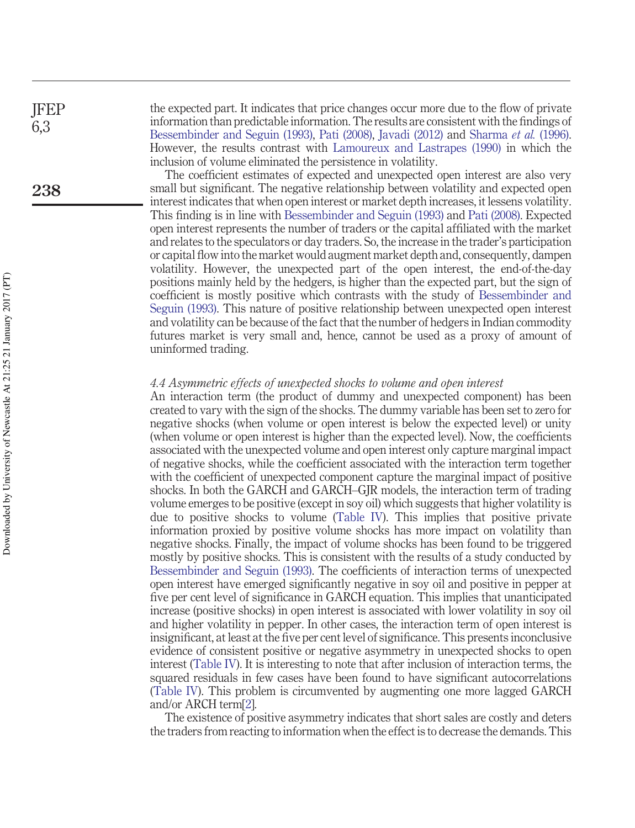JFEP 6,3

**238**

the expected part. It indicates that price changes occur more due to the flow of private information than predictable information. The results are consistent with the findings of Bessembinder and Seguin (1993), Pati (2008), Javadi (2012) and Sharma *et al.* (1996). However, the results contrast with Lamoureux and Lastrapes (1990) in which the inclusion of volume eliminated the persistence in volatility.

The coefficient estimates of expected and unexpected open interest are also very small but significant. The negative relationship between volatility and expected open interest indicates that when open interest or market depth increases, it lessens volatility. This finding is in line with Bessembinder and Seguin (1993) and Pati (2008). Expected open interest represents the number of traders or the capital affiliated with the market and relates to the speculators or day traders. So, the increase in the trader's participation or capital flow into the market would augment market depth and, consequently, dampen volatility. However, the unexpected part of the open interest, the end-of-the-day positions mainly held by the hedgers, is higher than the expected part, but the sign of coefficient is mostly positive which contrasts with the study of Bessembinder and Seguin (1993). This nature of positive relationship between unexpected open interest and volatility can be because of the fact that the number of hedgers in Indian commodity futures market is very small and, hence, cannot be used as a proxy of amount of uninformed trading.

#### *4.4 Asymmetric effects of unexpected shocks to volume and open interest*

An interaction term (the product of dummy and unexpected component) has been created to vary with the sign of the shocks. The dummy variable has been set to zero for negative shocks (when volume or open interest is below the expected level) or unity (when volume or open interest is higher than the expected level). Now, the coefficients associated with the unexpected volume and open interest only capture marginal impact of negative shocks, while the coefficient associated with the interaction term together with the coefficient of unexpected component capture the marginal impact of positive shocks. In both the GARCH and GARCH–GJR models, the interaction term of trading volume emerges to be positive (except in soy oil) which suggests that higher volatility is due to positive shocks to volume (Table IV). This implies that positive private information proxied by positive volume shocks has more impact on volatility than negative shocks. Finally, the impact of volume shocks has been found to be triggered mostly by positive shocks. This is consistent with the results of a study conducted by Bessembinder and Seguin (1993). The coefficients of interaction terms of unexpected open interest have emerged significantly negative in soy oil and positive in pepper at five per cent level of significance in GARCH equation. This implies that unanticipated increase (positive shocks) in open interest is associated with lower volatility in soy oil and higher volatility in pepper. In other cases, the interaction term of open interest is insignificant, at least at the five per cent level of significance. This presents inconclusive evidence of consistent positive or negative asymmetry in unexpected shocks to open interest (Table IV). It is interesting to note that after inclusion of interaction terms, the squared residuals in few cases have been found to have significant autocorrelations (Table IV). This problem is circumvented by augmenting one more lagged GARCH and/or ARCH term[2].

The existence of positive asymmetry indicates that short sales are costly and deters the traders from reacting to information when the effect is to decrease the demands. This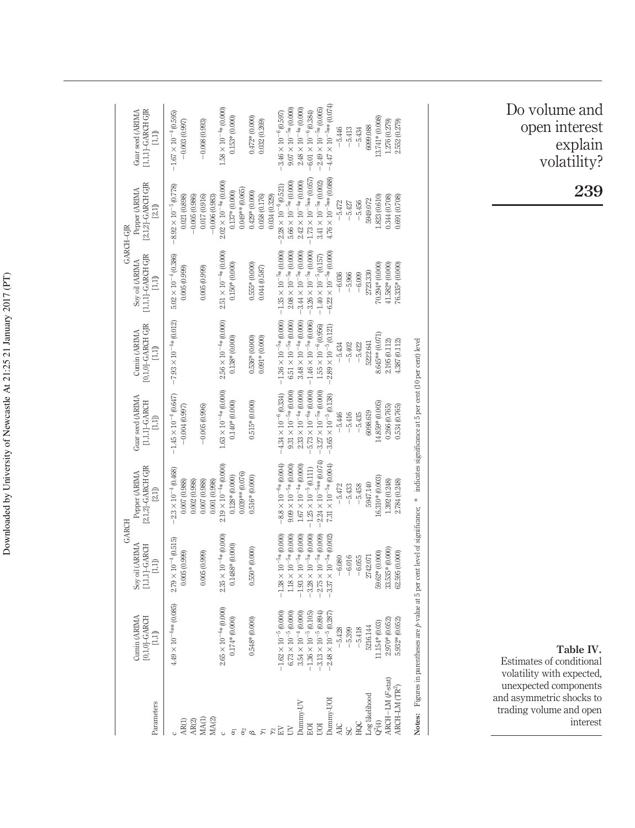|                             | Cumin (ARIMA                                                                                                                                      | GARCH<br>Soy oil (ARIMA                       | Pepper (ARIMA                                 | Guar seed (ARIMA                                  | Cumin (ARIMA                                               | GARCH-GIR<br>Soy oil (ARIMA                                                                | Pepper (ARIMA                                  | Guar seed (ARIMA                                  |
|-----------------------------|---------------------------------------------------------------------------------------------------------------------------------------------------|-----------------------------------------------|-----------------------------------------------|---------------------------------------------------|------------------------------------------------------------|--------------------------------------------------------------------------------------------|------------------------------------------------|---------------------------------------------------|
| Parameters                  | $[0,1,0]$ -GARCH<br>$\Box$                                                                                                                        | $[1,1,1]$ -GARCH<br>$[1,1]$                   | $[2,1,2]$ -GARCH GJR<br>$[21]$                | $[1,1,1]\text{-}\text{GARCH}$<br>[1,1]            | $[0,1,0]$ -GARCH GJR<br>$\begin{array}{c} 1.1 \end{array}$ | $[1,1,1]$ -GARCH GJR<br>$[1,1]$                                                            | [2,1,2]-GARCH GJR<br>$[2,1]$                   | $[1,1,1]$ -GARCH GJR<br>$\Box$                    |
| AR(1)                       | $4.49 \times 10^{-4}$ ** (0.085)                                                                                                                  | $2.79 \times 10^{-4} (0.515)$<br>0.005(0.999) | $-2.3 \times 10^{-4} (0.468)$<br>0.007(0.988) | $-1.45 \times 10^{-4} (0.647)$<br>$-0.004(0.997)$ | $-7.93 \times 10^{-4}$ * (0.012)                           | $5.02 \times 10^{-4} (0.386)$<br>0.005(0.999)                                              | $-8.92 \times 10^{-5} (0.778)$<br>0.021(0.898) | $-1.67 \times 10^{-4} (0.595)$<br>$-0.003(0.997)$ |
| AR(2)                       |                                                                                                                                                   |                                               | 0.002(0.998)                                  |                                                   |                                                            |                                                                                            | $-0.005(0.986)$                                |                                                   |
| MA(2)<br>MA(1)              |                                                                                                                                                   | 0.005(0.999)                                  | 0.007(0.988)<br>0.001(0.998)                  | $-0.005(0.996)$                                   |                                                            | 0.005(0.999)                                                                               | 0.017(0.916)<br>$-0.006(0.983)$                | $-0.008(0.993)$                                   |
| $\circ$                     | $2.65 \times 10^{-4*}$ (0.000)                                                                                                                    | $2.35 \times 10^{-4*} (0.000)$                | $2.19 \times 10^{-4} * (0.000)$               | $1.63 \times 10^{-4}*(0.000)$                     | $2.56 \times 10^{-4}$ * (0.000)                            | $2.51 \times 10^{-4}*(0.000)$                                                              | $2.02 \times 10^{-4} * (0.000)$                | $1.58 \times 10^{-4} * (0.000)$                   |
| $\alpha_1$                  | $0.174*(0.000)$                                                                                                                                   | $0.1488*(0.000)$                              | $0.128* (0.000)$                              | $0.140* (0.000)$                                  | $0.138* (0.000)$                                           | $0.150*(0.0000)$                                                                           | $0.137* (0.000)$                               | $0.153*(0.000)$                                   |
|                             |                                                                                                                                                   |                                               | 0.039** (0.076)                               |                                                   |                                                            |                                                                                            | $0.049**$ (0.065)                              |                                                   |
| $\overset{\circ}{\alpha}$   | $0.548*(0.000)$                                                                                                                                   | $0.550* (0.000)$                              | $0.516* (0.000)$                              | $0.515* (0.000)$                                  | $0.536* (0.000)$                                           | $0.555*(0.000)$                                                                            | $0.429* (0.000)$                               | $0.472*$ (0.000)                                  |
| $\tilde{\kappa}$            |                                                                                                                                                   |                                               |                                               |                                                   | $0.091*00.000$                                             | 0.044(0.587)                                                                               | 0.058 (0.176)                                  | 0.032(0.269)                                      |
|                             |                                                                                                                                                   |                                               |                                               |                                                   |                                                            |                                                                                            | 0.034 (0.329)                                  |                                                   |
| $_{\mathrm{EV}}^{\gamma_2}$ | $-1.62 \times 10^{-5} (0.000)$                                                                                                                    | $-1.38\times10^{-5}*(0.000)$                  | $-8.8 \times 10^{-6*} (0.004)$                | $-4.34 \times 10^{-6} (0.334)$                    |                                                            | $-1.36 \times 10^{-5*} (0.000) -1.35 \times 10^{-5*} (0.000) -2.28 \times 10^{-6} (0.521)$ |                                                | $-3.46 \times 10^{-6} (0.597)$                    |
| $\geq$                      | $6.73 \times 10^{-5} (0.000)$                                                                                                                     | $1.18 \times 10^{-5}*(0.000)$                 | $9.09\times10^{-5*}$ (0.000)                  | $9.31 \times 10^{-5}$ * (0.000)                   | $6.51 \times 10^{-5*}$ (0.000)                             | $2.08\times10^{-5*}(0.000)$                                                                | $5.66 \times 10^{-5*} (0.000)$                 | $9.07 \times 10^{-5}*(0.000)$                     |
| Dunmy-UV                    | $3.54 \times 10^{-4} (0.000)$                                                                                                                     | $-1.93 \times 10^{-5}*(0.000)$                | $1.67 \times 10^{-4} * (0.000)$               | $2.33 \times 10^{-4} * (0.000)$                   | $3.48\times10^{-4*}(0.000)$                                | $-3.44 \times 10^{-5*}(0.000)$                                                             | $2.42\times10^{-4}*(0.000)$                    | $2.48\times10^{-4*}(0.000)$                       |
| EOI                         | $-1.36 \times 10^{-5} (0.105)$                                                                                                                    | $-3.28\times10^{-5}$ % (0.000)                | $-1.25\times10^{-5}\,(0.111)$                 | $-5.73 \times 10^{-6*} (0.000)$                   | $-1.46 \times 10^{-5} * (0.006)$                           | $-3.26 \times 10^{-5*} (0.000)$                                                            | $-1.73 \times 10^{-5}$ ** (0.057)              | $-6.01 \times 10^{-6} (0.384)$                    |
| <b>DOI</b>                  | $-3.13 \times 10^{-5} (0.894)$                                                                                                                    | $2.75\times10^{-5}$ % (0.009)                 | $-2.24\times10^{-5}$ $\!*\!*$ (0.074)         | $-3.27\times10^{-5*}(0.000)$                      | $1.55 \times 10^{-6} (0.956)$                              | $-1.40\times10^{-5}\,(0.157)$                                                              | $3.41\times10^{-5*}(0.002)$                    | $-2.49\times10^{-5*}$ (0.005)                     |
| Dunnny-UOI                  | $-2.48 \times 10^{-5}$ (0.287)                                                                                                                    | $3.37 \times 10^{-5}$ % (0.002)               | $7.31 \times 10^{-5*} (0.004)$                | $-3.65 \times 10^{-5} (0.138)$                    | $-2.89 \times 10^{-5}$ (0.121)                             | $-6.22 \times 10^{-5}*(0.000)$                                                             | $4.76 \times 10^{-5}$ ** (0.088)               | $-4.47 \times 10^{-5}$ ** (0.074)                 |
| <b>AIC</b>                  | $-5.428$                                                                                                                                          | $-6.080$                                      | $-5.472$                                      | $-5.446$                                          | $-5.434$                                                   | $-6,036$                                                                                   | $-5.472$                                       | $-5.446$                                          |
| SC                          | $-5.399$                                                                                                                                          | $-6.016$                                      | $-5,433$                                      | $-5.416$                                          | $-5.402$                                                   | $-5.966$                                                                                   | $-5.427$                                       | $-5.413$                                          |
| HQC                         | $-5.418$                                                                                                                                          | $-6.055$                                      | $-5.458$                                      | $-5.435$                                          | $-5.422$                                                   | $-6.009$                                                                                   | $-5.456$                                       | $-5.434$                                          |
| Log likelihood              | 5216.144                                                                                                                                          | 2742.071                                      | 5947.140                                      | 6098.619                                          | 5222.641                                                   | 2723.330                                                                                   | 5949.072                                       | 6099.088                                          |
| $Q^2(4)$                    | $11.154*(0.03)$                                                                                                                                   | 59.62* (0.000)                                | $6.310* (0.003)$                              | $14.859*(0.005)$                                  | 8.645** (0.071)                                            | $0.000*10000$                                                                              | 1.823(0.610)                                   | $13.741*(0.008)$                                  |
| ARCH-LM (F-stat)            | 2.970* (0.052                                                                                                                                     | 33.535* (0.000)                               | 1.392 (0.248)                                 | 0.266 (0.765)                                     | 2.195 (0.112)                                              | $11.582* (0.000)$                                                                          | 0.7080.708                                     | 1.276 (0.279)                                     |
| ARCH-LM (TR <sup>2</sup>    | 5.932* (0.052)                                                                                                                                    | 32.595 (0.000)                                | 2.784 (0.248)                                 | 0.534 (0.765)                                     | 1.387 (0.112)                                              | 0.00000000000000                                                                           | 0.691 (0.708)                                  | 2.552 (0.279)                                     |
|                             | Notes: Figures in parentheses are <i>p</i> -value at 5 per cent level of significance; * indicates significance at 5 per cent (10 per cent) level |                                               |                                               |                                                   |                                                            |                                                                                            |                                                |                                                   |

Do volume and open interest explain volatility?

**239**

**Table IV.**

Estimates of conditional volatility with expected, unexpected components and asymmetric shocks to trading volume and open interest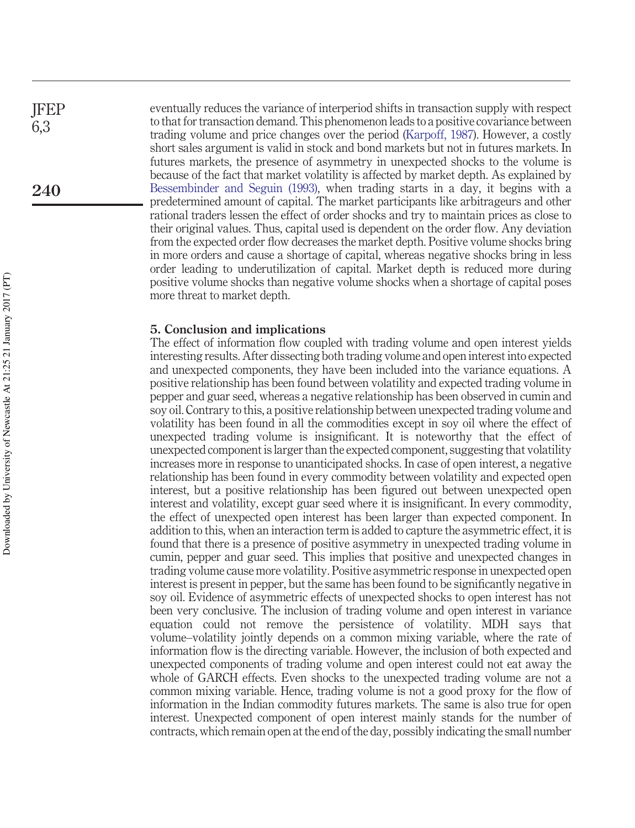eventually reduces the variance of interperiod shifts in transaction supply with respect to that for transaction demand. This phenomenon leads to a positive covariance between trading volume and price changes over the period (Karpoff, 1987). However, a costly short sales argument is valid in stock and bond markets but not in futures markets. In futures markets, the presence of asymmetry in unexpected shocks to the volume is because of the fact that market volatility is affected by market depth. As explained by Bessembinder and Seguin (1993), when trading starts in a day, it begins with a predetermined amount of capital. The market participants like arbitrageurs and other rational traders lessen the effect of order shocks and try to maintain prices as close to their original values. Thus, capital used is dependent on the order flow. Any deviation from the expected order flow decreases the market depth. Positive volume shocks bring in more orders and cause a shortage of capital, whereas negative shocks bring in less order leading to underutilization of capital. Market depth is reduced more during positive volume shocks than negative volume shocks when a shortage of capital poses more threat to market depth.

#### **5. Conclusion and implications**

The effect of information flow coupled with trading volume and open interest yields interesting results. After dissecting both trading volume and open interest into expected and unexpected components, they have been included into the variance equations. A positive relationship has been found between volatility and expected trading volume in pepper and guar seed, whereas a negative relationship has been observed in cumin and soy oil. Contrary to this, a positive relationship between unexpected trading volume and volatility has been found in all the commodities except in soy oil where the effect of unexpected trading volume is insignificant. It is noteworthy that the effect of unexpected component is larger than the expected component, suggesting that volatility increases more in response to unanticipated shocks. In case of open interest, a negative relationship has been found in every commodity between volatility and expected open interest, but a positive relationship has been figured out between unexpected open interest and volatility, except guar seed where it is insignificant. In every commodity, the effect of unexpected open interest has been larger than expected component. In addition to this, when an interaction term is added to capture the asymmetric effect, it is found that there is a presence of positive asymmetry in unexpected trading volume in cumin, pepper and guar seed. This implies that positive and unexpected changes in trading volume cause more volatility. Positive asymmetric response in unexpected open interest is present in pepper, but the same has been found to be significantly negative in soy oil. Evidence of asymmetric effects of unexpected shocks to open interest has not been very conclusive. The inclusion of trading volume and open interest in variance equation could not remove the persistence of volatility. MDH says that volume–volatility jointly depends on a common mixing variable, where the rate of information flow is the directing variable. However, the inclusion of both expected and unexpected components of trading volume and open interest could not eat away the whole of GARCH effects. Even shocks to the unexpected trading volume are not a common mixing variable. Hence, trading volume is not a good proxy for the flow of information in the Indian commodity futures markets. The same is also true for open interest. Unexpected component of open interest mainly stands for the number of contracts, which remain open at the end of the day, possibly indicating the small number

JFEP 6,3

**240**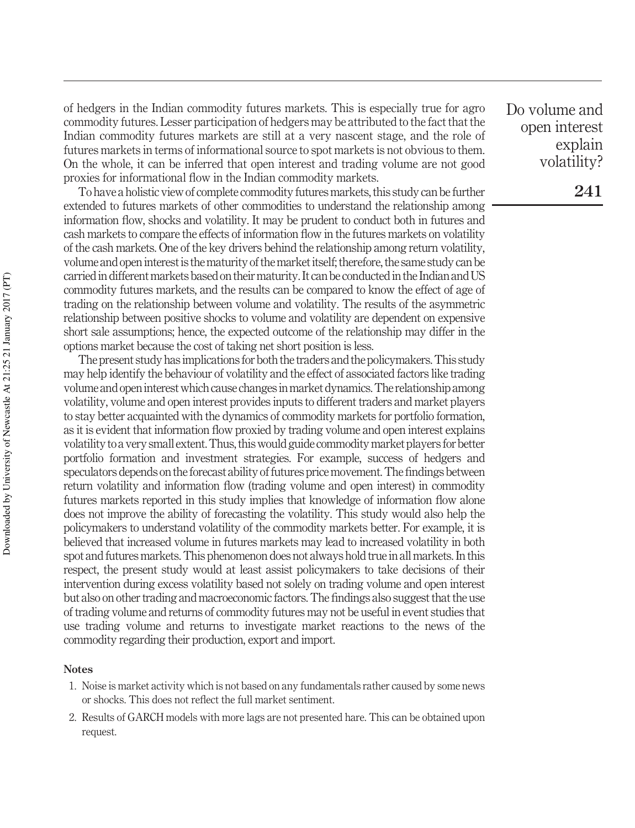of hedgers in the Indian commodity futures markets. This is especially true for agro commodity futures. Lesser participation of hedgers may be attributed to the fact that the Indian commodity futures markets are still at a very nascent stage, and the role of futures markets in terms of informational source to spot markets is not obvious to them. On the whole, it can be inferred that open interest and trading volume are not good proxies for informational flow in the Indian commodity markets.

To have a holistic view of complete commodity futures markets, this study can be further extended to futures markets of other commodities to understand the relationship among information flow, shocks and volatility. It may be prudent to conduct both in futures and cash markets to compare the effects of information flow in the futures markets on volatility of the cash markets. One of the key drivers behind the relationship among return volatility, volume and open interest is the maturity of the market itself; therefore, the same study can be carried in different markets based on their maturity. It can be conducted in the Indian andUS commodity futures markets, and the results can be compared to know the effect of age of trading on the relationship between volume and volatility. The results of the asymmetric relationship between positive shocks to volume and volatility are dependent on expensive short sale assumptions; hence, the expected outcome of the relationship may differ in the options market because the cost of taking net short position is less.

The present study has implications for both the traders and the policymakers.This study may help identify the behaviour of volatility and the effect of associated factors like trading volume and openinterest which cause changesinmarket dynamics.The relationship among volatility, volume and open interest provides inputs to different traders and market players to stay better acquainted with the dynamics of commodity markets for portfolio formation, as it is evident that information flow proxied by trading volume and open interest explains volatility to a very small extent.Thus, this would guide commoditymarket players for better portfolio formation and investment strategies. For example, success of hedgers and speculators depends on the forecast ability of futures price movement. The findings between return volatility and information flow (trading volume and open interest) in commodity futures markets reported in this study implies that knowledge of information flow alone does not improve the ability of forecasting the volatility. This study would also help the policymakers to understand volatility of the commodity markets better. For example, it is believed that increased volume in futures markets may lead to increased volatility in both spot and futures markets. This phenomenon does not always hold true in all markets. In this respect, the present study would at least assist policymakers to take decisions of their intervention during excess volatility based not solely on trading volume and open interest but also on other trading and macroeconomic factors. The findings also suggest that the use of trading volume and returns of commodity futures may not be useful in event studies that use trading volume and returns to investigate market reactions to the news of the commodity regarding their production, export and import.

#### **Notes**

- 1. Noise is market activity which is not based on any fundamentals rather caused by some news or shocks. This does not reflect the full market sentiment.
- 2. Results of GARCH models with more lags are not presented hare. This can be obtained upon request.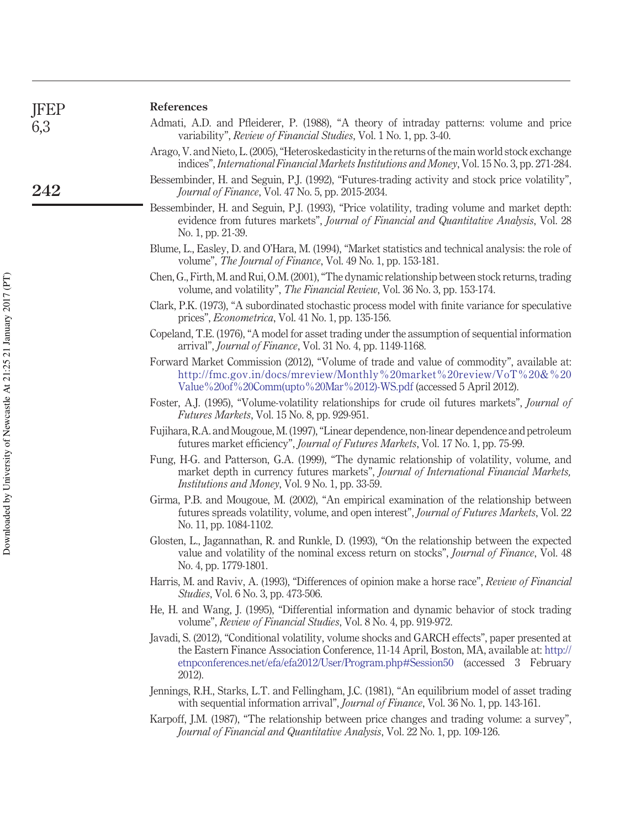| <b>JFEP</b> | References                                                                                                                                                                                                                                                                                  |
|-------------|---------------------------------------------------------------------------------------------------------------------------------------------------------------------------------------------------------------------------------------------------------------------------------------------|
| 6,3         | Admati, A.D. and Pfleiderer, P. (1988), "A theory of intraday patterns: volume and price<br>variability", <i>Review of Financial Studies</i> , Vol. 1 No. 1, pp. 3-40.                                                                                                                      |
|             | Arago, V. and Nieto, L. (2005), "Heteroskedasticity in the returns of the main world stock exchange<br>indices", International Financial Markets Institutions and Money, Vol. 15 No. 3, pp. 271-284.                                                                                        |
| 242         | Bessembinder, H. and Seguin, P.J. (1992), "Futures-trading activity and stock price volatility",<br>Journal of Finance, Vol. 47 No. 5, pp. 2015-2034.                                                                                                                                       |
|             | Bessembinder, H. and Seguin, P.J. (1993), "Price volatility, trading volume and market depth:<br>evidence from futures markets", Journal of Financial and Quantitative Analysis, Vol. 28<br>No. 1, pp. 21-39.                                                                               |
|             | Blume, L., Easley, D. and O'Hara, M. (1994), "Market statistics and technical analysis: the role of<br>volume", The Journal of Finance, Vol. 49 No. 1, pp. 153-181.                                                                                                                         |
|             | Chen, G., Firth, M. and Rui, O.M. (2001), "The dynamic relationship between stock returns, trading<br>volume, and volatility", The Financial Review, Vol. 36 No. 3, pp. 153-174.                                                                                                            |
|             | Clark, P.K. (1973), "A subordinated stochastic process model with finite variance for speculative<br>prices", <i>Econometrica</i> , Vol. 41 No. 1, pp. 135-156.                                                                                                                             |
|             | Copeland, T.E. (1976), "A model for asset trading under the assumption of sequential information<br>arrival", <i>Journal of Finance</i> , Vol. 31 No. 4, pp. 1149-1168.                                                                                                                     |
|             | Forward Market Commission (2012), "Volume of trade and value of commodity", available at:<br>http://fmc.gov.in/docs/mreview/Monthly%20market%20review/VoT%20&%20<br>Value%20of%20Comm(upto%20Mar%2012)-WS.pdf (accessed 5 April 2012).                                                      |
|             | Foster, A.J. (1995), "Volume-volatility relationships for crude oil futures markets", Journal of<br>Futures Markets, Vol. 15 No. 8, pp. 929-951.                                                                                                                                            |
|             | Fujihara, R.A. and Mougoue, M. (1997), "Linear dependence, non-linear dependence and petroleum<br>futures market efficiency", Journal of Futures Markets, Vol. 17 No. 1, pp. 75-99.                                                                                                         |
|             | Fung, H-G. and Patterson, G.A. (1999), "The dynamic relationship of volatility, volume, and<br>market depth in currency futures markets", Journal of International Financial Markets,<br>Institutions and Money, Vol. 9 No. 1, pp. 33-59.                                                   |
|             | Girma, P.B. and Mougoue, M. (2002), "An empirical examination of the relationship between<br>futures spreads volatility, volume, and open interest", Journal of Futures Markets, Vol. 22<br>No. 11, pp. 1084-1102.                                                                          |
|             | Glosten, L., Jagannathan, R. and Runkle, D. (1993), "On the relationship between the expected<br>value and volatility of the nominal excess return on stocks", Journal of Finance, Vol. 48<br>No. 4, pp. 1779-1801.                                                                         |
|             | Harris, M. and Raviv, A. (1993), "Differences of opinion make a horse race", Review of Financial<br>Studies, Vol. 6 No. 3, pp. 473-506.                                                                                                                                                     |
|             | He, H. and Wang, J. (1995), "Differential information and dynamic behavior of stock trading<br>volume", Review of Financial Studies, Vol. 8 No. 4, pp. 919-972.                                                                                                                             |
|             | Javadi, S. (2012), "Conditional volatility, volume shocks and GARCH effects", paper presented at<br>the Eastern Finance Association Conference, 11-14 April, Boston, MA, available at: http://<br>etnpconferences.net/efa/efa2012/User/Program.php#Session50 (accessed 3 February<br>2012). |
|             | Jennings, R.H., Starks, L.T. and Fellingham, J.C. (1981), "An equilibrium model of asset trading<br>with sequential information arrival", <i>Journal of Finance</i> , Vol. 36 No. 1, pp. 143-161.                                                                                           |
|             | Karpoff, J.M. (1987), "The relationship between price changes and trading volume: a survey",<br>Journal of Financial and Quantitative Analysis, Vol. 22 No. 1, pp. 109-126.                                                                                                                 |